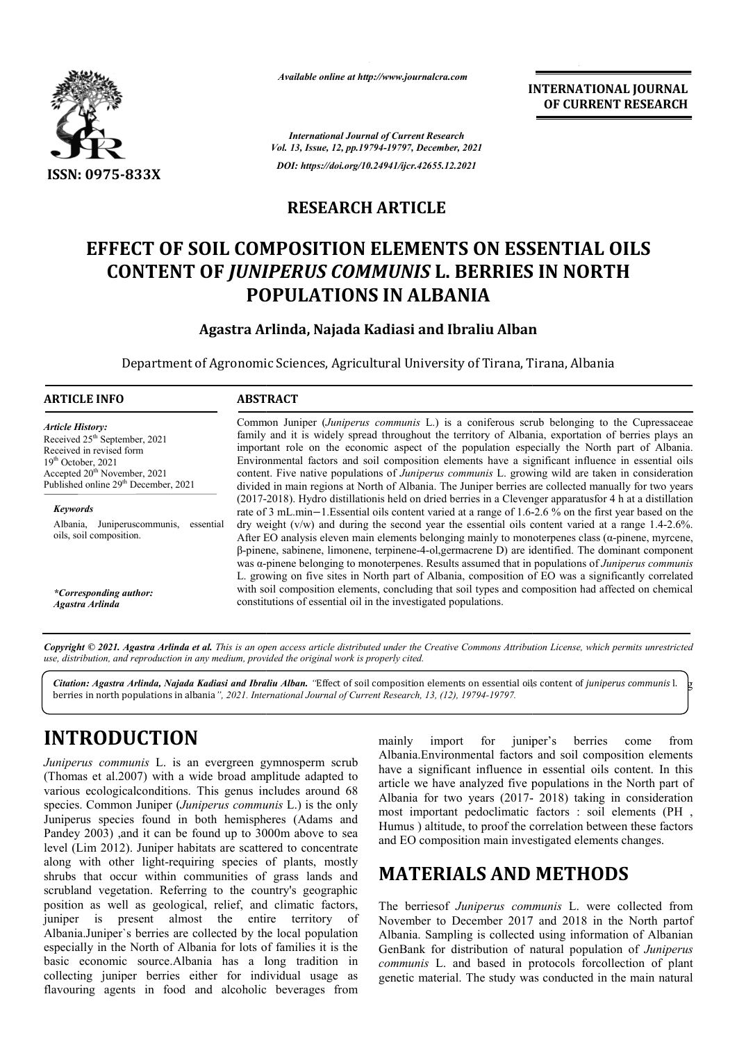

*Available online at http://www.journalcra.com*

### **RESEARCH ARTICLE**

# **EFFECT OF SOIL COMPOSITION ELEMENTS ON ESSENTIAL OILS CONTENT OF** *JUNIPERUS COMMUNIS*  **L. BERRIES IN NORTH POPULATIONS IN ALBANIA EFFECT OF SOIL COMPOSITION ELEMENTS ON ES:<br>CONTENT OF** *JUNIPERUS COMMUNIS* **L. BERRIES<br>POPULATIONS IN ALBANIA<br>Agastra Arlinda, Najada Kadiasi and Ibraliu Alba**

#### **Agastra Arlinda, Najada Kadiasi and Ibraliu Alban**

|                                                                                                                                                                                                                                                                                                                                                                                                                                                                                                                                                                                                                                                                                                                                                                                                                                                                                                                                                                                                                                                           | <b>INTERNATIONAL JOURNAL</b><br>OF CURRENT RESEARCH |                                                                                                                                                                                                                                                                                                                                                                                                                                                                                                                                                                                                                                                                                                                                                                                                                                                                                                                                                                                                                                                                                                                                                                                                                                                                                                                                                                                                                                                                                                                                                                       |  |  |  |
|-----------------------------------------------------------------------------------------------------------------------------------------------------------------------------------------------------------------------------------------------------------------------------------------------------------------------------------------------------------------------------------------------------------------------------------------------------------------------------------------------------------------------------------------------------------------------------------------------------------------------------------------------------------------------------------------------------------------------------------------------------------------------------------------------------------------------------------------------------------------------------------------------------------------------------------------------------------------------------------------------------------------------------------------------------------|-----------------------------------------------------|-----------------------------------------------------------------------------------------------------------------------------------------------------------------------------------------------------------------------------------------------------------------------------------------------------------------------------------------------------------------------------------------------------------------------------------------------------------------------------------------------------------------------------------------------------------------------------------------------------------------------------------------------------------------------------------------------------------------------------------------------------------------------------------------------------------------------------------------------------------------------------------------------------------------------------------------------------------------------------------------------------------------------------------------------------------------------------------------------------------------------------------------------------------------------------------------------------------------------------------------------------------------------------------------------------------------------------------------------------------------------------------------------------------------------------------------------------------------------------------------------------------------------------------------------------------------------|--|--|--|
|                                                                                                                                                                                                                                                                                                                                                                                                                                                                                                                                                                                                                                                                                                                                                                                                                                                                                                                                                                                                                                                           |                                                     | <b>International Journal of Current Research</b><br>Vol. 13, Issue, 12, pp.19794-19797, December, 2021                                                                                                                                                                                                                                                                                                                                                                                                                                                                                                                                                                                                                                                                                                                                                                                                                                                                                                                                                                                                                                                                                                                                                                                                                                                                                                                                                                                                                                                                |  |  |  |
| ISSN: 0975-833X                                                                                                                                                                                                                                                                                                                                                                                                                                                                                                                                                                                                                                                                                                                                                                                                                                                                                                                                                                                                                                           |                                                     | DOI: https://doi.org/10.24941/ijcr.42655.12.2021                                                                                                                                                                                                                                                                                                                                                                                                                                                                                                                                                                                                                                                                                                                                                                                                                                                                                                                                                                                                                                                                                                                                                                                                                                                                                                                                                                                                                                                                                                                      |  |  |  |
|                                                                                                                                                                                                                                                                                                                                                                                                                                                                                                                                                                                                                                                                                                                                                                                                                                                                                                                                                                                                                                                           | <b>RESEARCH ARTICLE</b>                             |                                                                                                                                                                                                                                                                                                                                                                                                                                                                                                                                                                                                                                                                                                                                                                                                                                                                                                                                                                                                                                                                                                                                                                                                                                                                                                                                                                                                                                                                                                                                                                       |  |  |  |
|                                                                                                                                                                                                                                                                                                                                                                                                                                                                                                                                                                                                                                                                                                                                                                                                                                                                                                                                                                                                                                                           |                                                     | <b>EFFECT OF SOIL COMPOSITION ELEMENTS ON ESSENTIAL OILS</b><br><b>CONTENT OF JUNIPERUS COMMUNIS L. BERRIES IN NORTH</b><br><b>POPULATIONS IN ALBANIA</b>                                                                                                                                                                                                                                                                                                                                                                                                                                                                                                                                                                                                                                                                                                                                                                                                                                                                                                                                                                                                                                                                                                                                                                                                                                                                                                                                                                                                             |  |  |  |
|                                                                                                                                                                                                                                                                                                                                                                                                                                                                                                                                                                                                                                                                                                                                                                                                                                                                                                                                                                                                                                                           |                                                     | Agastra Arlinda, Najada Kadiasi and Ibraliu Alban                                                                                                                                                                                                                                                                                                                                                                                                                                                                                                                                                                                                                                                                                                                                                                                                                                                                                                                                                                                                                                                                                                                                                                                                                                                                                                                                                                                                                                                                                                                     |  |  |  |
|                                                                                                                                                                                                                                                                                                                                                                                                                                                                                                                                                                                                                                                                                                                                                                                                                                                                                                                                                                                                                                                           |                                                     | Department of Agronomic Sciences, Agricultural University of Tirana, Tirana, Albania                                                                                                                                                                                                                                                                                                                                                                                                                                                                                                                                                                                                                                                                                                                                                                                                                                                                                                                                                                                                                                                                                                                                                                                                                                                                                                                                                                                                                                                                                  |  |  |  |
| <b>ARTICLE INFO</b>                                                                                                                                                                                                                                                                                                                                                                                                                                                                                                                                                                                                                                                                                                                                                                                                                                                                                                                                                                                                                                       | <b>ABSTRACT</b>                                     |                                                                                                                                                                                                                                                                                                                                                                                                                                                                                                                                                                                                                                                                                                                                                                                                                                                                                                                                                                                                                                                                                                                                                                                                                                                                                                                                                                                                                                                                                                                                                                       |  |  |  |
| <b>Article History:</b><br>Received 25 <sup>th</sup> September, 2021<br>Received in revised form<br>$19th$ October, 2021<br>Accepted 20 <sup>th</sup> November, 2021<br>Published online 29 <sup>th</sup> December, 2021<br><b>Keywords</b><br>Albania, Juniperuscommunis, essential<br>oils, soil composition.<br>*Corresponding author:<br><b>Agastra Arlinda</b>                                                                                                                                                                                                                                                                                                                                                                                                                                                                                                                                                                                                                                                                                       |                                                     | Common Juniper (Juniperus communis L.) is a coniferous scrub belonging to the Cupressaceae<br>family and it is widely spread throughout the territory of Albania, exportation of berries plays an<br>important role on the economic aspect of the population especially the North part of Albania.<br>Environmental factors and soil composition elements have a significant influence in essential oils<br>content. Five native populations of Juniperus communis L. growing wild are taken in consideration<br>divided in main regions at North of Albania. The Juniper berries are collected manually for two years<br>(2017-2018). Hydro distillationis held on dried berries in a Clevenger apparatusfor 4 h at a distillation<br>rate of 3 mL.min-1.Essential oils content varied at a range of 1.6-2.6 % on the first year based on the<br>dry weight (v/w) and during the second year the essential oils content varied at a range 1.4-2.6%.<br>After EO analysis eleven main elements belonging mainly to monoterpenes class ( $\alpha$ -pinene, myrcene,<br>$\beta$ -pinene, sabinene, limonene, terpinene-4-ol, germacrene D) are identified. The dominant component<br>was a-pinene belonging to monoterpenes. Results assumed that in populations of Juniperus communis<br>L. growing on five sites in North part of Albania, composition of EO was a significantly correlated<br>with soil composition elements, concluding that soil types and composition had affected on chemical<br>constitutions of essential oil in the investigated populations. |  |  |  |
| use, distribution, and reproduction in any medium, provided the original work is properly cited.<br>berries in north populations in albania", 2021. International Journal of Current Research, 13, (12), 19794-19797.                                                                                                                                                                                                                                                                                                                                                                                                                                                                                                                                                                                                                                                                                                                                                                                                                                     |                                                     | Copyright © 2021. Agastra Arlinda et al. This is an open access article distributed under the Creative Commons Attribution License, which permits unrestricted<br>Citation: Agastra Arlinda, Najada Kadiasi and Ibraliu Alban. "Effect of soil composition elements on essential oils content of juniperus communis l.                                                                                                                                                                                                                                                                                                                                                                                                                                                                                                                                                                                                                                                                                                                                                                                                                                                                                                                                                                                                                                                                                                                                                                                                                                                |  |  |  |
| <b>INTRODUCTION</b><br><i>Juniperus communis</i> L. is an evergreen gymnosperm scrub<br>(Thomas et al.2007) with a wide broad amplitude adapted to<br>various ecological conditions. This genus includes around 68<br>species. Common Juniper (Juniperus communis L.) is the only<br>Juniperus species found in both hemispheres (Adams and<br>Pandey 2003) ,and it can be found up to 3000m above to sea<br>level (Lim 2012). Juniper habitats are scattered to concentrate<br>along with other light-requiring species of plants, mostly<br>shrubs that occur within communities of grass lands and<br>scrubland vegetation. Referring to the country's geographic<br>position as well as geological, relief, and climatic factors,<br>almost the<br>present<br>juniper<br>$\overline{1}$<br>Albania.Juniper's berries are collected by the local population<br>especially in the North of Albania for lots of families it is the<br>basic economic source.Albania has a long tradition in<br>collecting juniper berries either for individual usage as | entire<br>territory<br>of                           | juniper's<br>import<br>berries<br>mainly<br>for<br>from<br>come<br>Albania.Environmental factors and soil composition elements<br>have a significant influence in essential oils content. In this<br>article we have analyzed five populations in the North part of<br>Albania for two years (2017- 2018) taking in consideration<br>most important pedoclimatic factors : soil elements (PH,<br>Humus ) altitude, to proof the correlation between these factors<br>and EO composition main investigated elements changes.<br><b>MATERIALS AND METHODS</b><br>The berriesof Juniperus communis L. were collected from<br>November to December 2017 and 2018 in the North partof<br>Albania. Sampling is collected using information of Albanian<br>GenBank for distribution of natural population of Juniperus<br>communis L. and based in protocols forcollection of plant<br>genetic material. The study was conducted in the main natural                                                                                                                                                                                                                                                                                                                                                                                                                                                                                                                                                                                                                         |  |  |  |

## **INTRODUCTION**

*Juniperus communis* L. is an evergreen gymnosperm scrub (Thomas et al.2007) with a wide broad amplitude adapted to various ecologicalconditions. This genus includes around 68 species. Common Juniper (*Juniperus communis* L.) is the only Juniperus species found in both hemispheres (Adams and Pandey 2003) ,and it can be found up to 3000m above to sea level (Lim 2012). Juniper habitats are scattered to concentrate along with other light-requiring species of plants, mostly shrubs that occur within communities of grass lands and scrubland vegetation. Referring to the country's geographic position as well as geological, relief, and climatic factors, juniper is present almost the entire territory of Albania.Juniper`s berries are collected by the local population especially in the North of Albania for lots of families it is the basic economic source.Albania has a long tradition in collecting juniper berries either for individual usage as flavouring agents in food and alcoholic beverages from ong with other light-requiring species of plants, mostly rubs that occur within communities of grass lands and rubland vegetation. Referring to the country's geographic sition as well as geological, relief, and climatic fa

## **MATERIALS AND METHODS**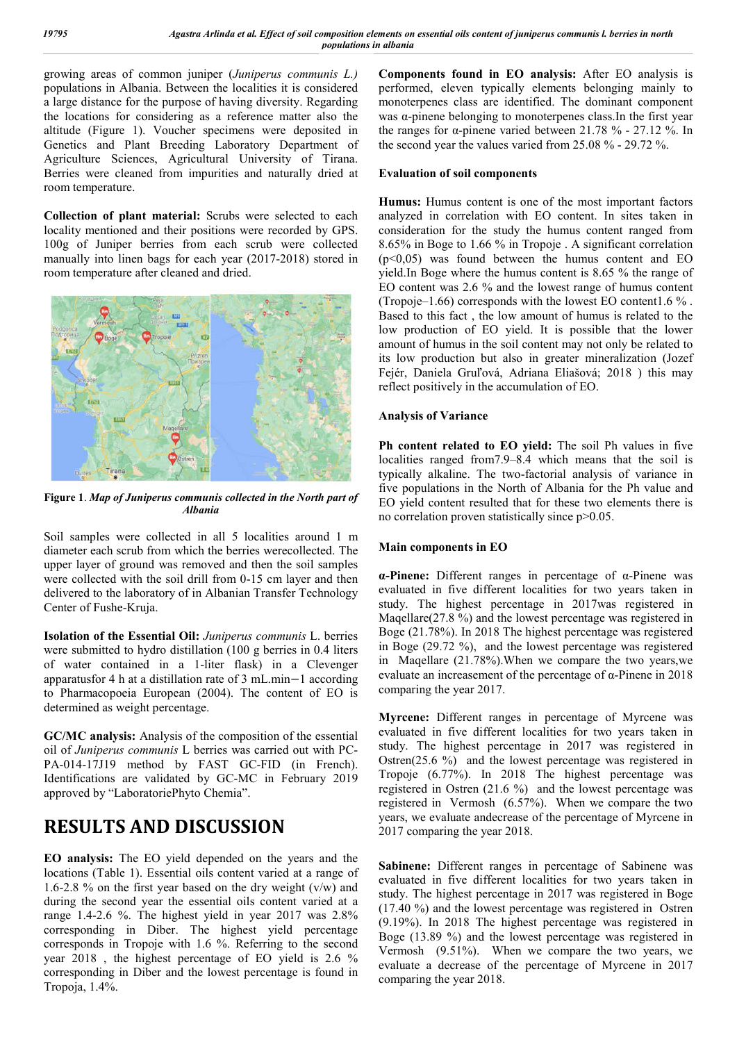growing areas of common juniper (*Juniperus communis L.)*  populations in Albania. Between the localities it is considered a large distance for the purpose of having diversity. Regarding the locations for considering as a reference matter also the altitude (Figure 1). Voucher specimens were deposited in Genetics and Plant Breeding Laboratory Department of Agriculture Sciences, Agricultural University of Tirana. Berries were cleaned from impurities and naturally dried at room temperature.

**Collection of plant material:** Scrubs were selected to each locality mentioned and their positions were recorded by GPS. 100g of Juniper berries from each scrub were collected manually into linen bags for each year (2017-2018) stored in room temperature after cleaned and dried.



**Figure 1**. *Map of Juniperus communis collected in the North part of Albania*

Soil samples were collected in all 5 localities around 1 m diameter each scrub from which the berries werecollected. The upper layer of ground was removed and then the soil samples were collected with the soil drill from 0-15 cm layer and then delivered to the laboratory of in Albanian Transfer Technology Center of Fushe-Kruja.

**Isolation of the Essential Oil:** *Juniperus communis* L. berries were submitted to hydro distillation (100 g berries in 0.4 liters of water contained in a 1-liter flask) in a Clevenger apparatusfor 4 h at a distillation rate of 3 mL.min−1 according to Pharmacopoeia European (2004). The content of EO is determined as weight percentage.

**GC/MC analysis:** Analysis of the composition of the essential oil of *Juniperus communis* L berries was carried out with PC-PA-014-17J19 method by FAST GC-FID (in French). Identifications are validated by GC-MC in February 2019 approved by "LaboratoriePhyto Chemia".

## **RESULTS AND DISCUSSION**

**EO analysis:** The EO yield depended on the years and the locations (Table 1). Essential oils content varied at a range of 1.6-2.8 % on the first year based on the dry weight  $(v/w)$  and during the second year the essential oils content varied at a range 1.4-2.6 %. The highest yield in year 2017 was 2.8% corresponding in Diber. The highest yield percentage corresponds in Tropoje with 1.6 %. Referring to the second year 2018 , the highest percentage of EO yield is 2.6 % corresponding in Diber and the lowest percentage is found in Tropoja, 1.4%.

**Components found in EO analysis:** After EO analysis is performed, eleven typically elements belonging mainly to monoterpenes class are identified. The dominant component was  $\alpha$ -pinene belonging to monoterpenes class. In the first year the ranges for α-pinene varied between 21.78 % - 27.12 %. In the second year the values varied from 25.08 % - 29.72 %.

#### **Evaluation of soil components**

**Humus:** Humus content is one of the most important factors analyzed in correlation with EO content. In sites taken in consideration for the study the humus content ranged from 8.65% in Boge to 1.66 % in Tropoje . A significant correlation  $(p<0,05)$  was found between the humus content and EO yield.In Boge where the humus content is 8.65 % the range of EO content was 2.6 % and the lowest range of humus content (Tropoje–1.66) corresponds with the lowest EO content1.6 % . Based to this fact , the low amount of humus is related to the low production of EO yield. It is possible that the lower amount of humus in the soil content may not only be related to its low production but also in greater mineralization (Jozef Fejér, Daniela Gruľová, Adriana Eliašová; 2018 ) this may reflect positively in the accumulation of EO.

#### **Analysis of Variance**

**Ph content related to EO yield:** The soil Ph values in five localities ranged from7.9–8.4 which means that the soil is typically alkaline. The two-factorial analysis of variance in five populations in the North of Albania for the Ph value and EO yield content resulted that for these two elements there is no correlation proven statistically since p>0.05.

#### **Main components in EO**

**α-Pinene:** Different ranges in percentage of α-Pinene was evaluated in five different localities for two years taken in study. The highest percentage in 2017was registered in Magellare(27.8 %) and the lowest percentage was registered in Boge (21.78%). In 2018 The highest percentage was registered in Boge (29.72 %), and the lowest percentage was registered in Maqellare (21.78%).When we compare the two years,we evaluate an increasement of the percentage of α-Pinene in 2018 comparing the year 2017.

**Myrcene:** Different ranges in percentage of Myrcene was evaluated in five different localities for two years taken in study. The highest percentage in 2017 was registered in Ostren(25.6 %) and the lowest percentage was registered in Tropoje (6.77%). In 2018 The highest percentage was registered in Ostren (21.6 %) and the lowest percentage was registered in Vermosh (6.57%). When we compare the two years, we evaluate andecrease of the percentage of Myrcene in 2017 comparing the year 2018.

Sabinene: Different ranges in percentage of Sabinene was evaluated in five different localities for two years taken in study. The highest percentage in 2017 was registered in Boge (17.40 %) and the lowest percentage was registered in Ostren (9.19%). In 2018 The highest percentage was registered in Boge (13.89 %) and the lowest percentage was registered in Vermosh (9.51%). When we compare the two years, we evaluate a decrease of the percentage of Myrcene in 2017 comparing the year 2018.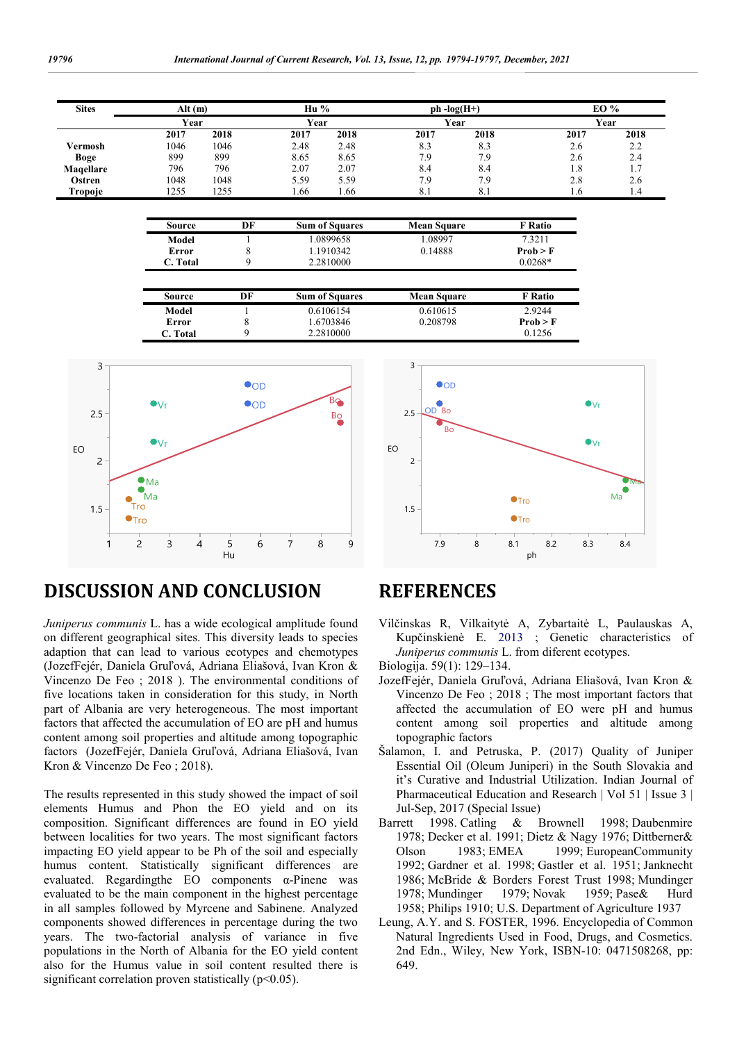| <b>Sites</b> |      | Alt(m) |      | $\mathbf{H}$ u % |      | $ph - log(H+)$ |      | EO % |  |
|--------------|------|--------|------|------------------|------|----------------|------|------|--|
|              | Year |        | Year |                  |      | Year           |      | Year |  |
|              | 2017 | 2018   | 2017 | 2018             | 2017 | 2018           | 2017 | 2018 |  |
| Vermosh      | 1046 | 1046   | 2.48 | 2.48             | 8.3  | 8.3            | 2.6  | 2.2  |  |
| <b>Boge</b>  | 899  | 899    | 8.65 | 8.65             | 7.9  | 7.9            | 2.6  | 2.4  |  |
| Magellare    | 796  | 796    | 2.07 | 2.07             | 8.4  | 8.4            | 1.8  |      |  |
| Ostren       | 1048 | 1048   | 5.59 | 5.59             | 7.9  | 7.9            | 2.8  | 2.6  |  |
| Tropoje      | 1255 | 255    | . 66 | 1.66             | 8.1  | 8.1            | 1.0  | 1.4  |  |

| Source   | DF | <b>Sum of Squares</b> | <b>Mean Square</b> | F Ratio     |
|----------|----|-----------------------|--------------------|-------------|
| Model    |    | 1.0899658             | 1.08997            | 7.3211      |
| Error    |    | 1.1910342             | 0.14888            | $\Proh > F$ |
| C. Total |    | 2.2810000             |                    | $0.0268*$   |

| Source   | DF | <b>Sum of Squares</b> | <b>Mean Square</b> | F Ratio  |
|----------|----|-----------------------|--------------------|----------|
| Model    |    | 0.6106154             | 0.610615           | 2.9244   |
| Error    |    | 1.6703846             | 0.208798           | Prob > F |
| C. Total |    | 2.2810000             |                    | 0.1256   |



#### 1.5  $\overline{2}$  $2.5$ 3 EO Bo  $Ro$ **OD**  $\bullet$ Tro  $\bullet$ Tro  $\bullet$  $\mathcal{N}$ Ma Ma 7.9 8 8.1 8.2 8.3 8.4 ph

### **DISCUSSION AND CONCLUSION**

*Juniperus communis* L. has a wide ecological amplitude found on different geographical sites. This diversity leads to species adaption that can lead to various ecotypes and chemotypes (JozefFejér, Daniela Gruľová, Adriana Eliašová, Ivan Kron & Vincenzo De Feo ; 2018 ). The environmental conditions of five locations taken in consideration for this study, in North part of Albania are very heterogeneous. The most important factors that affected the accumulation of EO are pH and humus content among soil properties and altitude among topographic factors (JozefFejér, Daniela Gruľová, Adriana Eliašová, Ivan Kron & Vincenzo De Feo ; 2018).

The results represented in this study showed the impact of soil elements Humus and Phon the EO yield and on its composition. Significant differences are found in EO yield between localities for two years. The most significant factors impacting EO yield appear to be Ph of the soil and especially humus content. Statistically significant differences are evaluated. Regardingthe EO components α-Pinene was evaluated to be the main component in the highest percentage in all samples followed by Myrcene and Sabinene. Analyzed components showed differences in percentage during the two years. The two-factorial analysis of variance in five populations in the North of Albania for the EO yield content also for the Humus value in soil content resulted there is significant correlation proven statistically ( $p$ <0.05).

### **REFERENCES**

- Vilčinskas R, Vilkaitytė A, Zybartaitė L, Paulauskas A, Kupčinskienė E. 2013 ; Genetic characteristics of *Juniperus communis* L. from diferent ecotypes.
- Biologija. 59(1): 129–134.
- JozefFejér, Daniela Gruľová, Adriana Eliašová, Ivan Kron & Vincenzo De Feo ; 2018 ; The most important factors that affected the accumulation of EO were pH and humus content among soil properties and altitude among topographic factors
- Šalamon, I. and Petruska, P. (2017) Quality of Juniper Essential Oil (Oleum Juniperi) in the South Slovakia and it's Curative and Industrial Utilization. Indian Journal of Pharmaceutical Education and Research | Vol 51 | Issue 3 | Jul-Sep, 2017 (Special Issue)
- Barrett 1998. Catling & Brownell 1998; Daubenmire 1978; Decker et al. 1991; Dietz & Nagy 1976; Dittberner& Olson 1983; EMEA 1999; EuropeanCommunity 1992; Gardner et al. 1998; Gastler et al. 1951; Janknecht 1986; McBride & Borders Forest Trust 1998; Mundinger 1978; Mundinger 1979; Novak 1959; Pase& Hurd 1958; Philips 1910; U.S. Department of Agriculture 1937
- Leung, A.Y. and S. FOSTER, 1996. Encyclopedia of Common Natural Ingredients Used in Food, Drugs, and Cosmetics. 2nd Edn., Wiley, New York, ISBN-10: 0471508268, pp: 649.